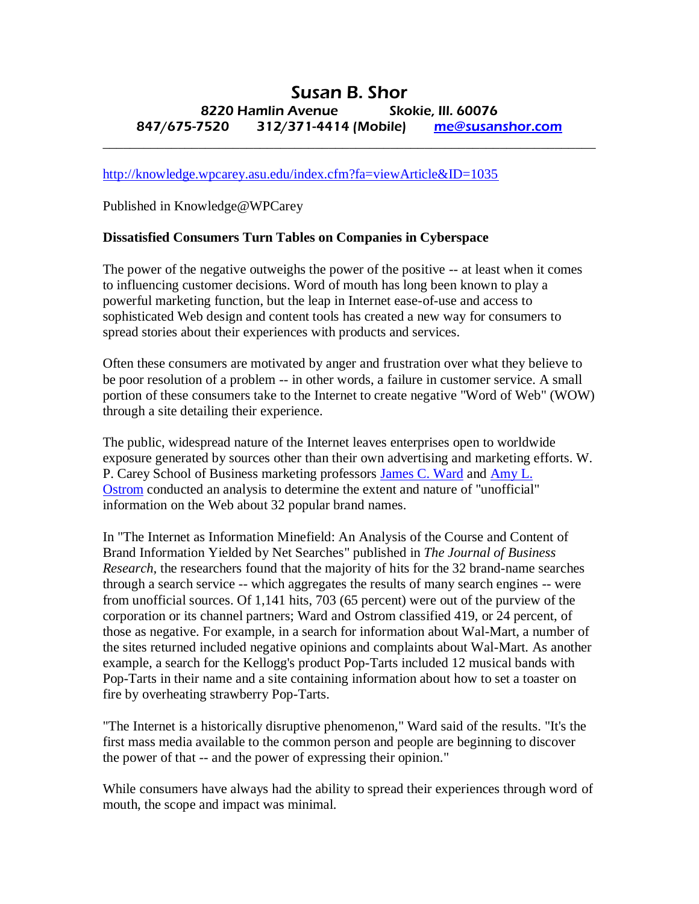## Susan B. Shor 8220 Hamlin Avenue Skokie, Ill. 60076 847/675-7520 312/371-4414 (Mobile) [me@susanshor.com](mailto:me@susanshor.com)

 $\_$  , and the set of the set of the set of the set of the set of the set of the set of the set of the set of the set of the set of the set of the set of the set of the set of the set of the set of the set of the set of th

<http://knowledge.wpcarey.asu.edu/index.cfm?fa=viewArticle&ID=1035>

Published in Knowledge@WPCarey

## **Dissatisfied Consumers Turn Tables on Companies in Cyberspace**

The power of the negative outweighs the power of the positive -- at least when it comes to influencing customer decisions. Word of mouth has long been known to play a powerful marketing function, but the leap in Internet ease-of-use and access to sophisticated Web design and content tools has created a new way for consumers to spread stories about their experiences with products and services.

Often these consumers are motivated by anger and frustration over what they believe to be poor resolution of a problem -- in other words, a failure in customer service. A small portion of these consumers take to the Internet to create negative "Word of Web" (WOW) through a site detailing their experience.

The public, widespread nature of the Internet leaves enterprises open to worldwide exposure generated by sources other than their own advertising and marketing efforts. W. P. Carey School of Business marketing professors [James C. Ward](http://wpcarey.asu.edu/Directory/stafffaculty.cfm?cobid=1039593) and [Amy L.](http://wpcarey.asu.edu/Directory/stafffaculty.cfm?cobid=1039571)  [Ostrom](http://wpcarey.asu.edu/Directory/stafffaculty.cfm?cobid=1039571) conducted an analysis to determine the extent and nature of "unofficial" information on the Web about 32 popular brand names.

In "The Internet as Information Minefield: An Analysis of the Course and Content of Brand Information Yielded by Net Searches" published in *The Journal of Business Research,* the researchers found that the majority of hits for the 32 brand-name searches through a search service -- which aggregates the results of many search engines -- were from unofficial sources. Of 1,141 hits, 703 (65 percent) were out of the purview of the corporation or its channel partners; Ward and Ostrom classified 419, or 24 percent, of those as negative. For example, in a search for information about Wal-Mart, a number of the sites returned included negative opinions and complaints about Wal-Mart. As another example, a search for the Kellogg's product Pop-Tarts included 12 musical bands with Pop-Tarts in their name and a site containing information about how to set a toaster on fire by overheating strawberry Pop-Tarts.

"The Internet is a historically disruptive phenomenon," Ward said of the results. "It's the first mass media available to the common person and people are beginning to discover the power of that -- and the power of expressing their opinion."

While consumers have always had the ability to spread their experiences through word of mouth, the scope and impact was minimal.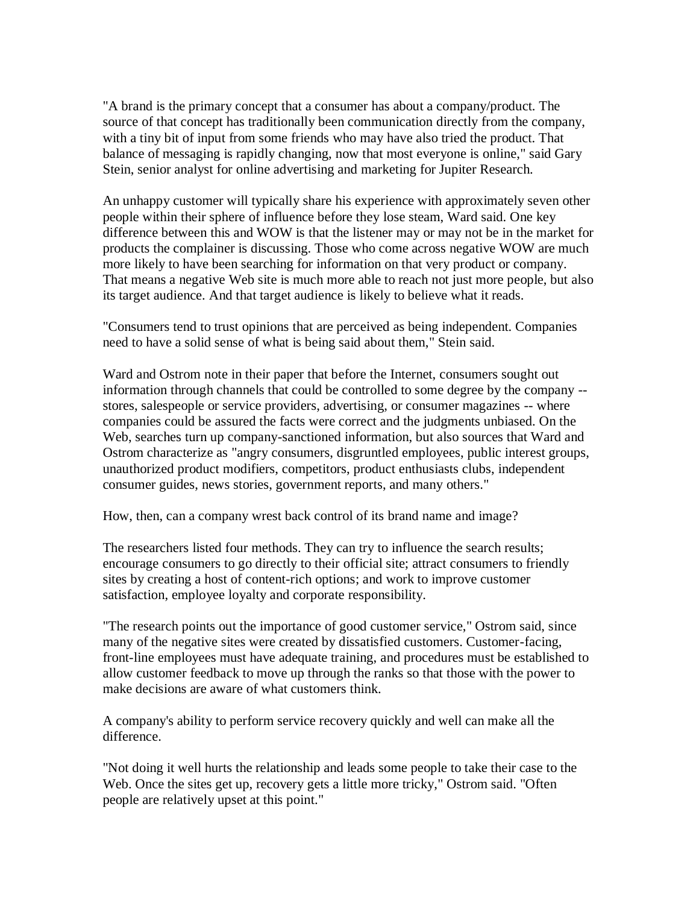"A brand is the primary concept that a consumer has about a company/product. The source of that concept has traditionally been communication directly from the company, with a tiny bit of input from some friends who may have also tried the product. That balance of messaging is rapidly changing, now that most everyone is online," said Gary Stein, senior analyst for online advertising and marketing for Jupiter Research.

An unhappy customer will typically share his experience with approximately seven other people within their sphere of influence before they lose steam, Ward said. One key difference between this and WOW is that the listener may or may not be in the market for products the complainer is discussing. Those who come across negative WOW are much more likely to have been searching for information on that very product or company. That means a negative Web site is much more able to reach not just more people, but also its target audience. And that target audience is likely to believe what it reads.

"Consumers tend to trust opinions that are perceived as being independent. Companies need to have a solid sense of what is being said about them," Stein said.

Ward and Ostrom note in their paper that before the Internet, consumers sought out information through channels that could be controlled to some degree by the company - stores, salespeople or service providers, advertising, or consumer magazines -- where companies could be assured the facts were correct and the judgments unbiased. On the Web, searches turn up company-sanctioned information, but also sources that Ward and Ostrom characterize as "angry consumers, disgruntled employees, public interest groups, unauthorized product modifiers, competitors, product enthusiasts clubs, independent consumer guides, news stories, government reports, and many others."

How, then, can a company wrest back control of its brand name and image?

The researchers listed four methods. They can try to influence the search results; encourage consumers to go directly to their official site; attract consumers to friendly sites by creating a host of content-rich options; and work to improve customer satisfaction, employee loyalty and corporate responsibility.

"The research points out the importance of good customer service," Ostrom said, since many of the negative sites were created by dissatisfied customers. Customer-facing, front-line employees must have adequate training, and procedures must be established to allow customer feedback to move up through the ranks so that those with the power to make decisions are aware of what customers think.

A company's ability to perform service recovery quickly and well can make all the difference.

"Not doing it well hurts the relationship and leads some people to take their case to the Web. Once the sites get up, recovery gets a little more tricky," Ostrom said. "Often people are relatively upset at this point."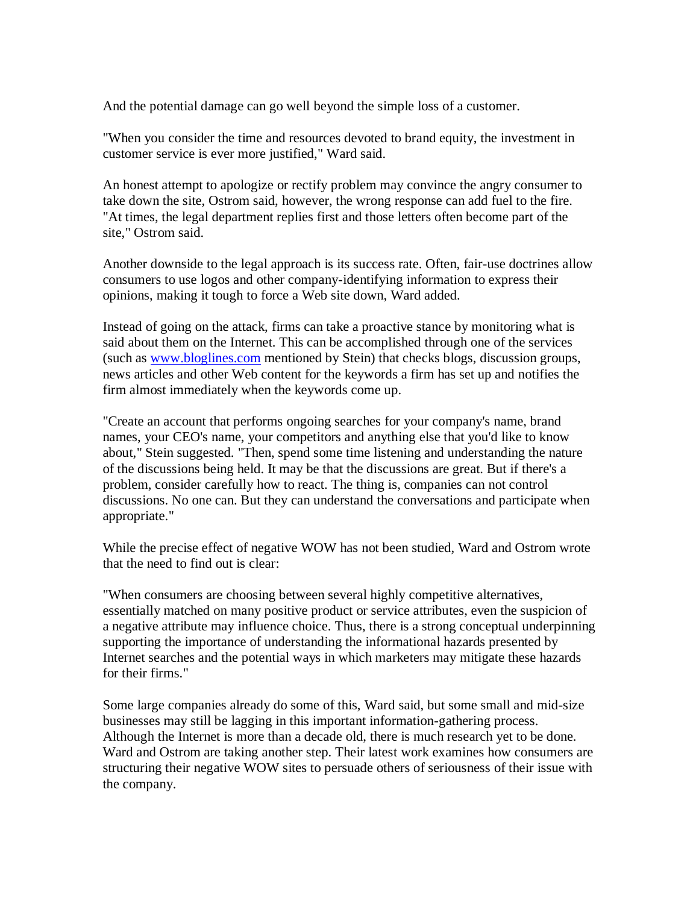And the potential damage can go well beyond the simple loss of a customer.

"When you consider the time and resources devoted to brand equity, the investment in customer service is ever more justified," Ward said.

An honest attempt to apologize or rectify problem may convince the angry consumer to take down the site, Ostrom said, however, the wrong response can add fuel to the fire. "At times, the legal department replies first and those letters often become part of the site," Ostrom said.

Another downside to the legal approach is its success rate. Often, fair-use doctrines allow consumers to use logos and other company-identifying information to express their opinions, making it tough to force a Web site down, Ward added.

Instead of going on the attack, firms can take a proactive stance by monitoring what is said about them on the Internet. This can be accomplished through one of the services (such as [www.bloglines.com](http://www.bloglines.com/) mentioned by Stein) that checks blogs, discussion groups, news articles and other Web content for the keywords a firm has set up and notifies the firm almost immediately when the keywords come up.

"Create an account that performs ongoing searches for your company's name, brand names, your CEO's name, your competitors and anything else that you'd like to know about," Stein suggested. "Then, spend some time listening and understanding the nature of the discussions being held. It may be that the discussions are great. But if there's a problem, consider carefully how to react. The thing is, companies can not control discussions. No one can. But they can understand the conversations and participate when appropriate."

While the precise effect of negative WOW has not been studied, Ward and Ostrom wrote that the need to find out is clear:

"When consumers are choosing between several highly competitive alternatives, essentially matched on many positive product or service attributes, even the suspicion of a negative attribute may influence choice. Thus, there is a strong conceptual underpinning supporting the importance of understanding the informational hazards presented by Internet searches and the potential ways in which marketers may mitigate these hazards for their firms."

Some large companies already do some of this, Ward said, but some small and mid-size businesses may still be lagging in this important information-gathering process. Although the Internet is more than a decade old, there is much research yet to be done. Ward and Ostrom are taking another step. Their latest work examines how consumers are structuring their negative WOW sites to persuade others of seriousness of their issue with the company.